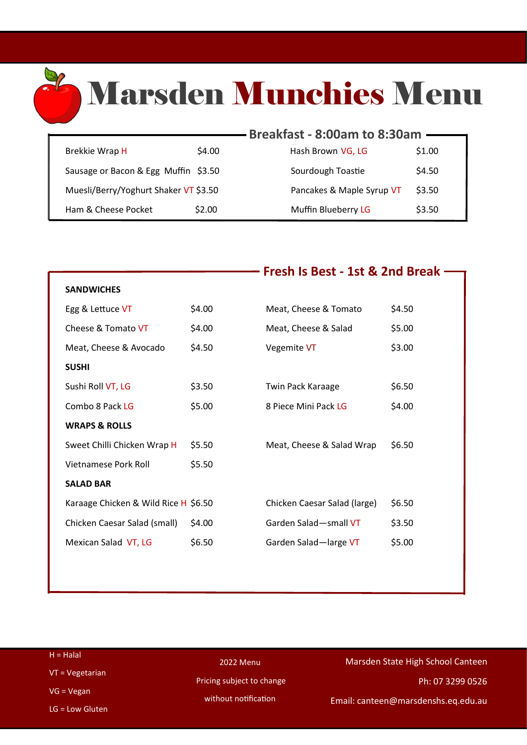# Marsden Munchies Menu

|                                       |        | Breakfast - 8:00am to 8:30am |        |
|---------------------------------------|--------|------------------------------|--------|
|                                       |        |                              |        |
| Brekkie Wrap H                        | \$4.00 | Hash Brown VG, LG            | \$1.00 |
| Sausage or Bacon & Egg Muffin \$3.50  |        | Sourdough Toastie            | \$4.50 |
| Muesli/Berry/Yoghurt Shaker VT \$3.50 |        | Pancakes & Maple Syrup VT    | \$3.50 |
| Ham & Cheese Pocket                   | \$2.00 | Muffin Blueberry LG          | \$3.50 |

X

|                                      |        | <b>Fresh Is Best - 1st &amp; 2nd Break</b> |        |
|--------------------------------------|--------|--------------------------------------------|--------|
| <b>SANDWICHES</b>                    |        |                                            |        |
| Egg & Lettuce VT                     | \$4.00 | Meat, Cheese & Tomato                      | \$4.50 |
| Cheese & Tomato VT                   | \$4.00 | Meat, Cheese & Salad                       | \$5.00 |
| Meat, Cheese & Avocado               | \$4.50 | Vegemite VT                                | \$3.00 |
| <b>SUSHI</b>                         |        |                                            |        |
| Sushi Roll VT, LG                    | \$3.50 | <b>Twin Pack Karaage</b>                   | \$6.50 |
| Combo 8 Pack LG                      | \$5.00 | 8 Piece Mini Pack LG                       | \$4.00 |
| <b>WRAPS &amp; ROLLS</b>             |        |                                            |        |
| Sweet Chilli Chicken Wrap H          | \$5.50 | Meat, Cheese & Salad Wrap                  | \$6.50 |
| Vietnamese Pork Roll                 | \$5.50 |                                            |        |
| <b>SALAD BAR</b>                     |        |                                            |        |
| Karaage Chicken & Wild Rice H \$6.50 |        | Chicken Caesar Salad (large)               | \$6.50 |
| Chicken Caesar Salad (small)         | \$4.00 | Garden Salad-small VT                      | \$3.50 |
| Mexican Salad VT, LG                 | \$6.50 | Garden Salad-large VT                      | \$5.00 |
|                                      |        |                                            |        |

| $H = Halal$       | <b>2022 Menu</b>          | Marsden State High School Canteen   |  |
|-------------------|---------------------------|-------------------------------------|--|
| $VT = Vegetarian$ |                           |                                     |  |
| $VG = Vegan$      | Pricing subject to change | Ph: 07 3299 0526                    |  |
| $LG = Low Gluten$ | without notification      | Email: canteen@marsdenshs.eq.edu.au |  |
|                   |                           |                                     |  |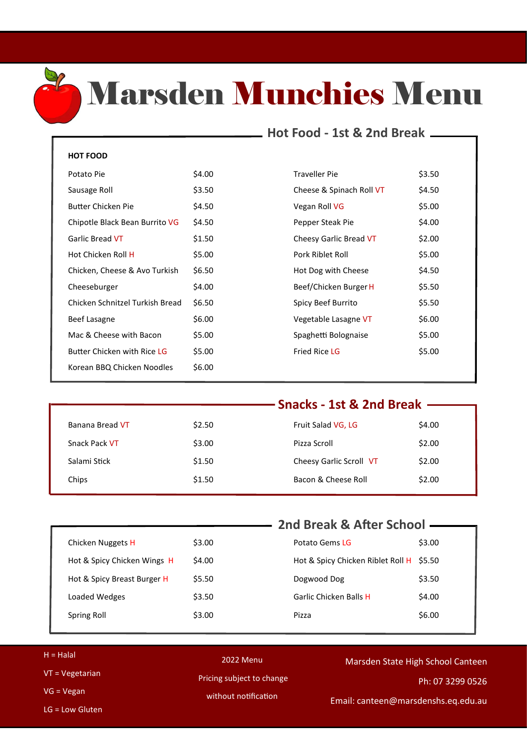

### Marsden Munchies Menu

### **Hot Food - 1st & 2nd Break**

#### **HOT FOOD**

| Potato Pie                      | \$4.00 |
|---------------------------------|--------|
| Sausage Roll                    | \$3.50 |
| Butter Chicken Pie              | \$4.50 |
| Chipotle Black Bean Burrito VG  | \$4.50 |
| Garlic Bread VT                 | \$1.50 |
| Hot Chicken Roll H              | \$5.00 |
| Chicken, Cheese & Avo Turkish   | \$6.50 |
| Cheeseburger                    | \$4.00 |
| Chicken Schnitzel Turkish Bread | \$6.50 |
| Beef Lasagne                    | \$6.00 |
| Mac & Cheese with Bacon         | \$5.00 |
| Butter Chicken with Rice LG     | \$5.00 |
| Korean BBQ Chicken Noodles      | \$6.00 |

| Potato Pie                      | \$4.00 | Traveller Pie            | \$3.50 |
|---------------------------------|--------|--------------------------|--------|
| Sausage Roll                    | \$3.50 | Cheese & Spinach Roll VT | \$4.50 |
| Butter Chicken Pie              | \$4.50 | Vegan Roll VG            | \$5.00 |
| Chipotle Black Bean Burrito VG  | \$4.50 | Pepper Steak Pie         | \$4.00 |
| Garlic Bread VT                 | \$1.50 | Cheesy Garlic Bread VT   | \$2.00 |
| Hot Chicken Roll H              | \$5.00 | Pork Riblet Roll         | \$5.00 |
| Chicken, Cheese & Avo Turkish   | \$6.50 | Hot Dog with Cheese      | \$4.50 |
| Cheeseburger                    | \$4.00 | Beef/Chicken Burger H    | \$5.50 |
| Chicken Schnitzel Turkish Bread | \$6.50 | Spicy Beef Burrito       | \$5.50 |
| Beef Lasagne                    | \$6.00 | Vegetable Lasagne VT     | \$6.00 |
| Mac & Cheese with Bacon         | \$5.00 | Spaghetti Bolognaise     | \$5.00 |
| Butter Chicken with Rice LG     | \$5.00 | <b>Fried Rice LG</b>     | \$5.00 |
|                                 |        |                          |        |

|                 | Snacks - 1st & 2nd Break - |                         |        |
|-----------------|----------------------------|-------------------------|--------|
|                 |                            |                         |        |
| Banana Bread VT | \$2.50                     | Fruit Salad VG, LG      | \$4.00 |
| Snack Pack VT   | \$3.00                     | Pizza Scroll            | \$2.00 |
| Salami Stick    | \$1.50                     | Cheesy Garlic Scroll VT | \$2.00 |
| Chips           | \$1.50                     | Bacon & Cheese Roll     | \$2.00 |
|                 |                            |                         |        |

|                             |        | 2nd Break & After School -               |        |
|-----------------------------|--------|------------------------------------------|--------|
|                             |        |                                          |        |
| Chicken Nuggets H           | \$3.00 | Potato Gems LG                           | \$3.00 |
| Hot & Spicy Chicken Wings H | \$4.00 | Hot & Spicy Chicken Riblet Roll H \$5.50 |        |
| Hot & Spicy Breast Burger H | \$5.50 | Dogwood Dog                              | \$3.50 |
| Loaded Wedges               | \$3.50 | Garlic Chicken Balls H                   | \$4.00 |
| Spring Roll                 | \$3.00 | Pizza                                    | \$6.00 |
|                             |        |                                          |        |

| $H = Halal$     | 2022 Menu                 | Marsden State High School Canteen   |
|-----------------|---------------------------|-------------------------------------|
| VT = Vegetarian | Pricing subject to change |                                     |
|                 |                           | Ph: 07 3299 0526                    |
| $VG = Vegan$    | without notification      | Email: canteen@marsdenshs.eq.edu.au |
| LG = Low Gluten |                           |                                     |